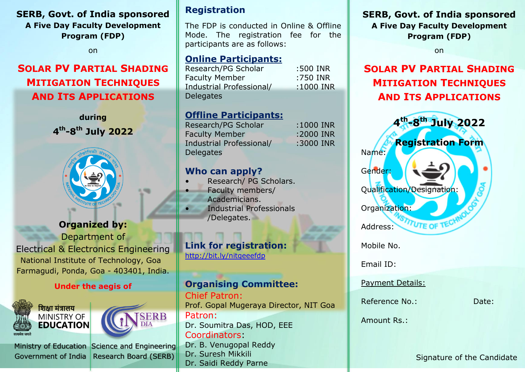## **SERB, Govt. of India sponsored A Five Day Faculty Development Program (FDP)**

on

# **SOLAR PV PARTIAL SHADING MITIGATION TECHNIQUES AND ITS APPLICATIONS**

**during 4 th -8 th July 2022**



## **Organized by:**

Department of Electrical & Electronics Engineering National Institute of Technology, Goa Farmagudi, Ponda, Goa - 403401, India.

### **Under the aegis of**



Ministry of Education Science and Engineering Government of India Research Board (SERB)



f India

**Registration**

The FDP is conducted in Online & Offline Mode. The registration fee for the participants are as follows:

## **Online Participants:**

Research/PG Scholar :500 INR Faculty Member :750 INR Industrial Professional/ :1000 INR **Delegates** 

## **Offline Participants:**

Research/PG Scholar :1000 INR Faculty Member :2000 INR Industrial Professional/ :3000 INR **Delegates** 

## **Who can apply?**

- Research/ PG Scholars.
- Faculty members/ Academicians.
- Industrial Professionals /Delegates.

## **Link for registration:**

http://bit.ly/nitgeeefdp

### **Organising Committee:** Chief Patron:

Prof. Gopal Mugeraya Director, NIT Goa Patron: Dr. Soumitra Das, HOD, EEE Coordinators: Dr. B. Venugopal Reddy Dr. Suresh Mikkili

Dr. Saidi Reddy Parne

**SERB, Govt. of India sponsored**

**A Five Day Faculty Development Program (FDP)**

on

# **SOLAR PV PARTIAL SHADING MITIGATION TECHNIQUES AND ITS APPLICATIONS**



Signature of the Candidate